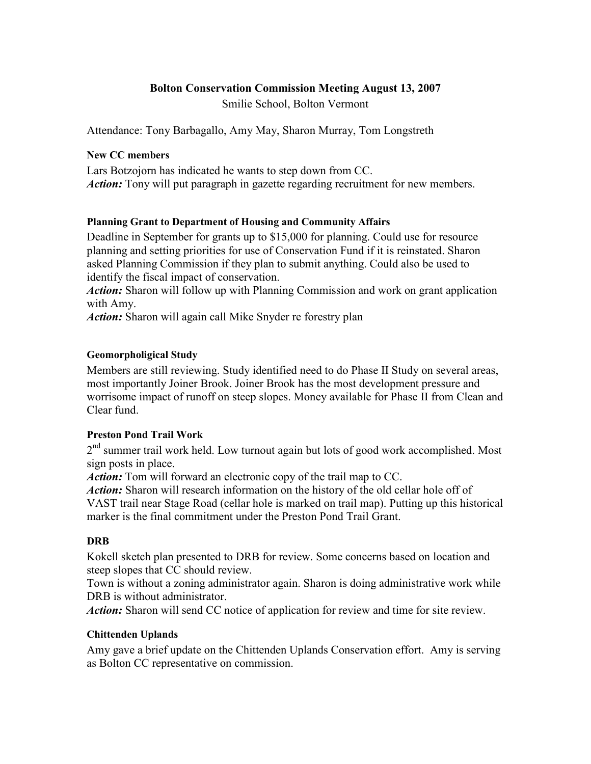## Bolton Conservation Commission Meeting August 13, 2007

Smilie School, Bolton Vermont

Attendance: Tony Barbagallo, Amy May, Sharon Murray, Tom Longstreth

### New CC members

Lars Botzojorn has indicated he wants to step down from CC. Action: Tony will put paragraph in gazette regarding recruitment for new members.

## Planning Grant to Department of Housing and Community Affairs

Deadline in September for grants up to \$15,000 for planning. Could use for resource planning and setting priorities for use of Conservation Fund if it is reinstated. Sharon asked Planning Commission if they plan to submit anything. Could also be used to identify the fiscal impact of conservation.

Action: Sharon will follow up with Planning Commission and work on grant application with Amy.

Action: Sharon will again call Mike Snyder re forestry plan

## Geomorpholigical Study

Members are still reviewing. Study identified need to do Phase II Study on several areas, most importantly Joiner Brook. Joiner Brook has the most development pressure and worrisome impact of runoff on steep slopes. Money available for Phase II from Clean and Clear fund.

### Preston Pond Trail Work

2<sup>nd</sup> summer trail work held. Low turnout again but lots of good work accomplished. Most sign posts in place.

Action: Tom will forward an electronic copy of the trail map to CC.

Action: Sharon will research information on the history of the old cellar hole off of VAST trail near Stage Road (cellar hole is marked on trail map). Putting up this historical marker is the final commitment under the Preston Pond Trail Grant.

# **DRB**

Kokell sketch plan presented to DRB for review. Some concerns based on location and steep slopes that CC should review.

Town is without a zoning administrator again. Sharon is doing administrative work while DRB is without administrator.

Action: Sharon will send CC notice of application for review and time for site review.

### Chittenden Uplands

Amy gave a brief update on the Chittenden Uplands Conservation effort. Amy is serving as Bolton CC representative on commission.